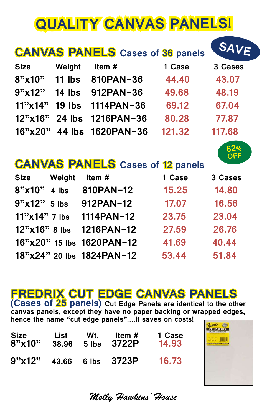# **QUALITY CANVAS PANELS!**

|                                                       |               | <b>CANVAS PANELS</b> Cases of 36 panels |        | SAVE    |  |  |
|-------------------------------------------------------|---------------|-----------------------------------------|--------|---------|--|--|
| <b>Size</b>                                           | Weight        | Item $#$                                | 1 Case | 3 Cases |  |  |
| 8"x10"                                                | 11 lbs        | 810PAN-36                               | 44.40  | 43.07   |  |  |
| 9"x12"                                                | <b>14 lbs</b> | 912PAN-36                               | 49.68  | 48.19   |  |  |
| 11"x14"                                               | 19 lbs        | 1114PAN-36                              | 69.12  | 67.04   |  |  |
| 12"x16"                                               | <b>24 lbs</b> | 1216PAN-36                              | 80.28  | 77.87   |  |  |
| 16"x20"                                               | 44 lbs        | 1620PAN-36                              | 121.32 | 117.68  |  |  |
| 62%<br>OFF<br><b>CANVAS PANELS</b> Cases of 12 panels |               |                                         |        |         |  |  |
| <b>Size</b>                                           | Weight        | Item#                                   | 1 Case | 3 Cases |  |  |
| 8"x10"                                                | 4 lbs         | 810PAN-12                               | 15.25  | 14.80   |  |  |
| $9"x12"5$ lbs                                         |               | 912PAN-12                               | 17.07  | 16.56   |  |  |
| $11"x14"7$ lbs                                        |               | 1114PAN-12                              | 23.75  | 23.04   |  |  |
| $12"x16"8$ lbs                                        |               | 1216PAN-12                              | 27.59  | 26.76   |  |  |
| $16"$ x20" 15 lbs                                     |               | 1620PAN-12                              | 41.69  | 40.44   |  |  |
| 18"x24" 20 lbs                                        |               | 1824PAN-12                              | 53.44  | 51.84   |  |  |

# **FREDRIX CUT EDGE CANVAS PANELS**

**(Cases of 25 panels) Cut Edge Panels are identical to the other canvas panels, except they have no paper backing or wrapped edges, hence the name "cut edge panels"....it saves on costs!**

| <b>Size</b> | List  | Wt.   | Item $#$          | 1 Case |
|-------------|-------|-------|-------------------|--------|
| 8"x10"      | 38.96 | 5 lbs | 3722P             | 14.93  |
| 9"x12"      |       |       | 43.66 6 lbs 3723P | 16.73  |



*Molly Hawkins' House*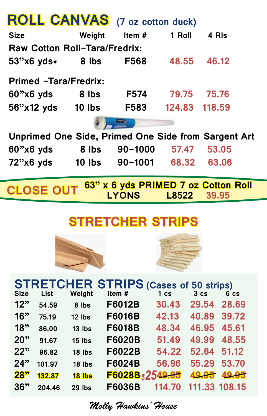|                                                                              |          | <b>ROLL CANVAS</b> (7 oz cotton duck) |              |                                                   |  |  |
|------------------------------------------------------------------------------|----------|---------------------------------------|--------------|---------------------------------------------------|--|--|
| <b>Size</b>                                                                  | Weight   | Item#                                 | 1 Roll       | 4 RIs                                             |  |  |
| <b>Raw Cotton Roll-Tara/Fredrix:</b>                                         |          |                                       |              |                                                   |  |  |
| 53"x6 yds∗                                                                   | 8 lbs    | <b>F568</b>                           | 48.55        | 46.12                                             |  |  |
|                                                                              |          |                                       |              |                                                   |  |  |
| Primed -Tara/Fredrix:                                                        |          |                                       |              |                                                   |  |  |
| 60"x6 yds 8 lbs                                                              |          | <b>F574</b>                           | 79.75        | 75.76                                             |  |  |
| 56"x12 yds 10 lbs                                                            |          | <b>F583</b>                           |              | 124.83 118.59                                     |  |  |
|                                                                              |          |                                       |              |                                                   |  |  |
| <b>Unprimed One Side, Primed One Side from Sargent Art</b>                   |          |                                       |              |                                                   |  |  |
| $60"x6$ yds                                                                  | 8 lbs    | $90 - 1000$                           | 57.47        | 53.05                                             |  |  |
| 72"x6 yds                                                                    |          | 10 lbs 90-1001                        |              | 63.06<br>68.32                                    |  |  |
|                                                                              |          |                                       |              |                                                   |  |  |
| <b>CLOSE OUT</b>                                                             |          |                                       |              | 63" x 6 yds PRIMED 7 oz Cotton Roll               |  |  |
|                                                                              |          | <b>LYONS</b>                          | L8522        | 39.95                                             |  |  |
|                                                                              |          |                                       |              |                                                   |  |  |
| <b>STRETCHER STRIPS</b>                                                      |          |                                       |              |                                                   |  |  |
|                                                                              |          |                                       |              |                                                   |  |  |
|                                                                              |          |                                       |              |                                                   |  |  |
|                                                                              |          |                                       |              |                                                   |  |  |
|                                                                              |          |                                       |              |                                                   |  |  |
|                                                                              |          |                                       |              |                                                   |  |  |
|                                                                              |          |                                       |              |                                                   |  |  |
| STRETCHER STRIPS (Cases of 50 strips)<br>Size List Weight Item # 1 cs 3 cs 6 |          |                                       |              | $6$ $cs$                                          |  |  |
| 12"<br>54.59                                                                 | 8 lbs    | F6012B                                | 30.43        | 29.54 28.69                                       |  |  |
| 16"<br>75.19                                                                 | $12$ lbs | <b>F6016B</b>                         |              | 42.13 40.89 39.72                                 |  |  |
| 18"<br>86.00<br>つへり<br>0107                                                  | $13$ lbs | <b>F6018B</b><br><b>CANOND</b>        | <b>51 10</b> | 48.34 46.95 45.61<br><b>10.00</b><br><b>AO EE</b> |  |  |

|             |             |        |                | <u>.</u>       | $\sim$ $\sim$ $\sim$ $\sim$ $\sim$ $\sim$ |          |
|-------------|-------------|--------|----------------|----------------|-------------------------------------------|----------|
| <b>Size</b> | <b>List</b> | Weight | Item #         | $1 \text{ cs}$ | 3 <sub>cs</sub>                           | $6$ $cs$ |
| 12"         | 54.59       | 8 lbs  | <b>F6012B</b>  | 30.43          | 29.54                                     | 28.69    |
| 16"         | 75.19       | 12 lbs | <b>F6016B</b>  | 42.13          | 40.89                                     | 39.72    |
| 18"         | 86.00       | 13 lbs | F6018B         | 48.34          | 46.95                                     | 45.61    |
| 20"         | 91.67       | 15 lbs | F6020B         | 51.49          | 49.99                                     | 48.55    |
| 22"         | 96.82       | 18 lbs | F6022B         | 54.22          | 52.64                                     | 51.12    |
| 24"         | 101.97      | 18 lbs | F6024B         | 56.96          | 55.29                                     | 53.70    |
| <b>28"</b>  | 132.87      | 18 lbs | F6028Bs2549.95 |                | 49.95                                     | 49.95    |
| 36"         | 204.46      | 29 lbs | <b>F6036B</b>  | 114.70         | 111.33 108.15                             |          |
|             |             |        |                |                |                                           |          |

*Molly Hawkins' House*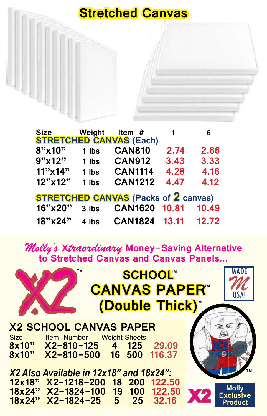### **Stretched Canvas**

| <b>Size</b> | Weight | Item $#$<br><b>STRETCHED CANVAS (Each)</b>  | $\mathbf{1}$ | 6     |
|-------------|--------|---------------------------------------------|--------------|-------|
| 8"x10"      | 1 lbs  | <b>CAN810</b>                               | 2.74         | 2.66  |
| 9"x12"      | 1 lbs  | <b>CAN912</b>                               | 3.43         | 3.33  |
| $11"$ x 14" | 1 lbs  | <b>CAN1114</b>                              | 4.28         | 4.16  |
| 12"x12"     | 1 lbs  | <b>CAN1212</b>                              | 4.47         | 4.12  |
|             |        | <b>STRETCHED CANVAS</b> (Packs of 2 canvas) |              |       |
| 16"x20"     | 3 lbs. | <b>CAN1620</b>                              | 10.81        | 10.49 |
| 18"x24"     | 4 lbs  | CAN1824 13.11                               |              | 12.72 |

*Molly's* **X***traordinary* **Money-Saving Alternative to Stretched Canvas and Canvas Panels...**